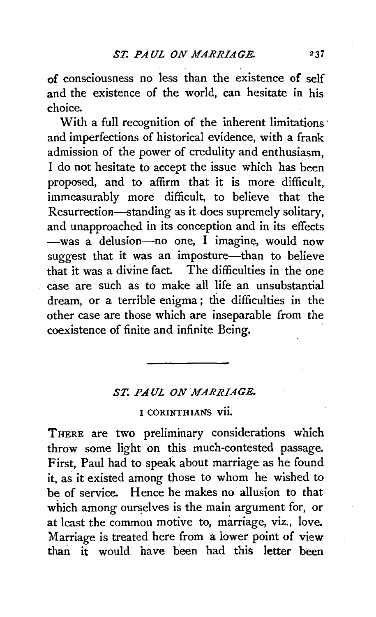of consciousness no less than the existence of self and the existence of the world, can hesitate in his choice.

With a full recognition of the inherent limitations and imperfections of historical evidence, with a frank admission of the power of credulity and enthusiasm, I do not hesitate to accept the issue which has been proposed, and to affirm that it is more difficult, immeasurably more difficult, to believe that the Resurrection-standing as it does supremely solitary, and unapproached in its conception and in its effects -was a delusion-no one, I imagine, would now suggest that it was an imposture-than to believe that it was a divine fact. The difficulties in the one case are such as to make all life an unsubstantial dream, or a terrible enigma ; the difficulties in the other case are those which are inseparable from the coexistence of finite and infinite Being.

## *ST. PAUL ON MARRIAGE.*

I CORINTHIANS vii.

THERE are two preliminary considerations which throw some light on this much-contested passage. First, Paul had to speak about marriage as he found it, as it existed among those to whom he wished to be of service. Hence he makes no allusion to that which among ourselves is the main argument for, or at least the common motive to, marriage, viz., love. Marriage is treated here from a lower point of view than it would have been had this letter been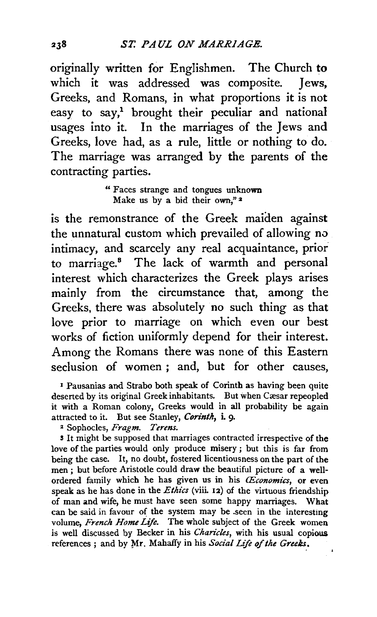originally written for Englishmen. The Church to which it was addressed was composite. Jews, Greeks, and Romans, in what proportions it is not easy to say,<sup>1</sup> brought their peculiar and national usages into it. In the marriages of the Jews and Greeks, love had, as a rule, little or nothing to do. The marriage was arranged by the parents of the contracting parties.

> "Faces strange and tongues unknown Make us by a bid their own,"<sup>2</sup>

is the remonstrance of the Greek maiden against the unnatural custom which prevailed of allowing no intimacy, and scarcely any real acquaintance, prior to marriage.<sup>8</sup> The lack of warmth and personal interest which characterizes the Greek plays arises mainly from the circumstance that, among the Greeks, there was absolutely no such thing as that love prior to marriage on which even our best works of fiction uniformly depend for their interest. Among the Romans there was none of this Eastern seclusion of women ; and, but for other causes,

<sup>1</sup> Pausanias and Strabo both speak of Corinth as having been quite deserted by its original Greek inhabitants. But when Cæsar repeopled it with a Roman colony, Greeks would in all probability be again attracted to it. But see Stanley, *Corinth,* i. 9·

2 Sophocles, *Fragm. Terms.* 

**5** It might be supposed that marriages contracted irrespective of the love of the parties would only produce misery ; but this is far from being the case. It, no doubt, fostered licentiousness on the part of the men ; but before Aristotle could draw the beautiful picture of a wellordered family which he has given us in his *(Economics,* or even speak as he has done in the *Ethics* (viii. 12) of the virtuous friendship of man and wife, he must have seen some happy marriages. What can be said in favour of the system may be seen in the interesting volume, *French Home Life.* The whole subject of the Greek women is well discussed by Becker in his *Charic/es,* with his usual copious references; and by Mr. Mahaffy in his *Social Life of the Greeks*.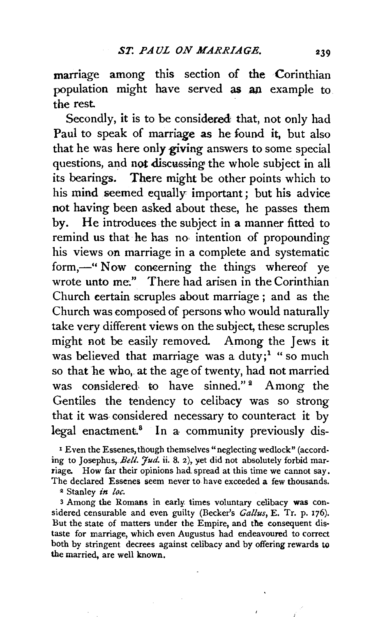marriage among this section of the Corinthian population might have served as an example to the rest.

Secondly, it is to be considered that, not only had Paul to speak of marriage as he found it, but also that he was here only giving answers to some special questions, and not discussing the whole subject in all its bearings. There might be other points which to his mind seemed equally important; but his advice not having been asked about these, he passes them by. He introduces the subject in a manner fitted to remind us that he has no· intention of propounding his views on marriage in a complete and systematic form,-" Now concerning the things whereof ye wrote unto me." There had arisen in the Corinthian Church certain scruples about marriage ; and as the Church was composed of persons who would naturally take very different views on the subject, these scruples might not be easily removed. Among the Jews it was believed that marriage was a duty;<sup>1</sup> "so much so that he who, at the age of twenty, had not married was considered to have sinned." $2$  Among the Gentiles the tendency to celibacy was so strong that it was considered necessary to counteract it by legal enactment.<sup>8</sup> In a community previously dis-

1 Even the Essenes, though themselves "neglecting wedlock" (according to Josephus, Bell. *Jud*. ii. 8. 2), yet did not absolutely forbid marriage. How far their opinions had. spread at this time we cannot say. The declared Essenes seem never to have exceeded a few thousands.

2 Stanley *in loc.* 

3 Among the Romans in early times voluntary celibacy was considered censurable and even guilty (Becker's *Gal/us,* E. Tr. p. 176). But the state of matters under the Empire, and the consequent distaste for marriage, which even Augustus had endeavoured to correct both by stringent decrees against celibacy and by offering rewards to the married, are well known.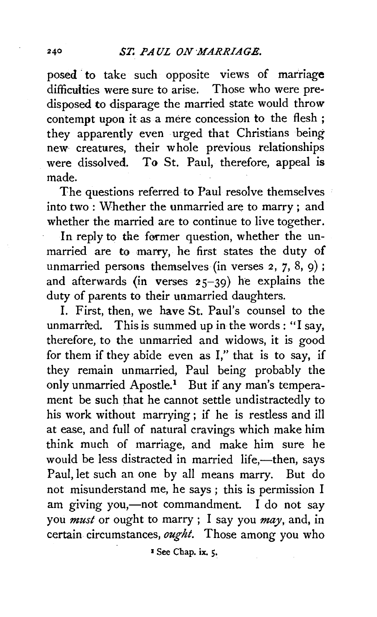posed to take such opposite views of marriage difficulties were sure to arise. Those who were predisposed to disparage the married state would throw contempt upon it as a mere concession to the flesh ; they apparently even urged that Christians being new creatures, their whole previous relationships were dissolved. To St. Paul, therefore, appeal is made.

The questions referred to Paul resolve themselves into two : Whether the unmarried are to marry ; and whether the married are to continue to live together.

In reply to the former question, whether the unmarried are to marry, he first states the duty of unmarried persons themselves (in verses  $2, 7, 8, 9$ ); and afterwards (in verses  $25-39$ ) he explains the duty of parents to their unmarried daughters.

I. First, then, we have St. Paul's counsel to the unmarried. This is summed up in the words: "I say, therefore, to the unmarried and widows, it is good for them if they abide even as I," that is to say, if they remain unmarried, Paul being probably the only unmarried Apostle.<sup>1</sup> But if any man's temperament be such that he cannot settle undistractedly to his work without marrying; if he is restless and ill at ease, and full of natural cravings which make him think much of marriage, and make him sure he would be less distracted in married life,-then, says Paul, let such an one by all means marry. But do not misunderstand me, he says ; this is permission I am giving you,-not commandment. I do not say you *must* or ought to marry ; I say you *may,* and, in certain circumstances, *ought.* Those among you who

<sup>3</sup> See Chap. ix. 5.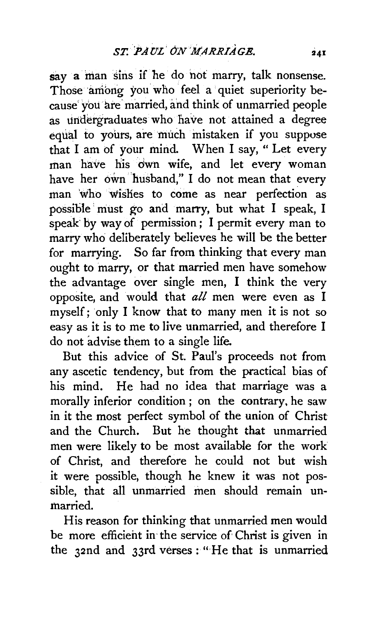say a man sins if he do not marry, talk nonsense. Those among you who feel a quiet superiority because you are married, and think of unmarried people as undergraduates who have not attained a degree equal to yours, are much mistaken if you suppose that I am of your mind. When I say, "Let every man have his dwn wife, and let every woman have her own husband," I do not mean that every man who wishes to come as near perfection as possible' must go and marry, but what I speak, I speak by way of permission; I permit every man to marry who deliberately believes he will be the better for marrying. So far from thinking that every man ought to marry, or that married men have somehow the advantage over single men, I think the very opposite, and would that *all* men were even as I myself; only I know that to many men it is not so easy as it is to me to live unmarried, and therefore I do not advise them to a single life.

But this advice of St. Paul's proceeds not from any ascetic tendency, but from the practical bias of his mind. He had no idea that marriage was a morally inferior condition ; on the contrary, he saw in it the most perfect symbol of the union of Christ and the Church. But he thought that unmarried men were likely to be most available for the work of Christ, and therefore he could not but wish it were possible, though he knew it was not possible, that all unmarried men should remain unmarried.

His reason for thinking that unmarried men would be more efficient in the service of Christ is given in the 32nd and 33rd verses: "He that is unmarried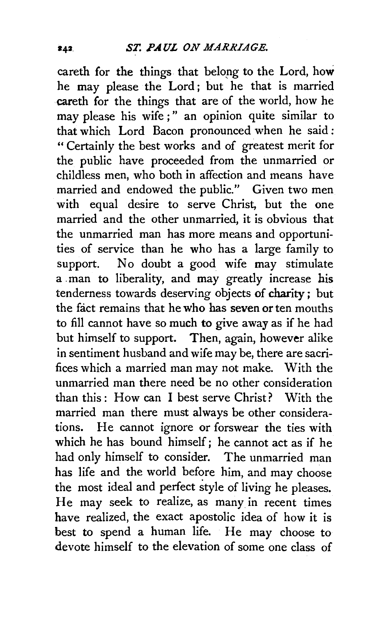careth for the things that belopg to the Lord, how he may please the Lord; but he that is married careth for the things that are of the world, how he may please his wife;" an opinion quite similar to that which Lord Bacon pronounced when he said: " Certainly the best works and of greatest merit for the public have proceeded from the unmarried or childless men, who both in affection and means have married and endowed the public." Given two men with equal desire to serve Christ, but the one married and the other unmarried, it is obvious that the unmarried man has more means and opportunities of service than he who has a large family to support. No doubt a good wife may stimulate a man to liberality, and may greatly increase his tenderness towards deserving objects of charity; but the fact remains that he who has seven or ten mouths to fill cannot have so much to give away as if he had but himself to support. Then, again, however alike in sentiment husband and wife may be, there are sacrifices which a married man may not make. With the unmarried man there need be no other consideration than this : How can I best serve Christ? With the married man there must always be other considerations. He cannot ignore or forswear the ties with which he has bound himself; he cannot act as if he had only himself to consider. The unmarried man has life and the world before him, and may choose the most ideal and perfect style of living he pleases. He may seek to realize, as many in recent times have realized, the exact apostolic idea of how it is best to spend a human life. He may choose to devote himself to the elevation of some one class of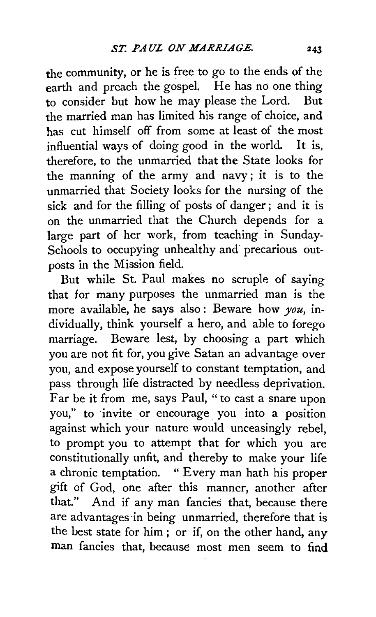the community, or he is free to go to the ends of the earth and preach the gospel. He has no one thing to consider but how he may please the Lord. But the married man has limited his range of choice, and has cut himself off from some at least of the most influential ways of doing good in the world. It is, therefore, to the unmarried that the State looks for the manning of the army and navy; it is to the unmarried that Society looks for the nursing of the sick and for the filling of posts of danger *;* and it is on the unmarried that the Church depends for a large part of her work, from teaching in Sunday-Schools to occupying unhealthy and precarious outposts in the Mission field.

But while St. Paul makes no scruple of saying that for many purposes the unmarried man is the more available, he says also : Beware how *you,* individually, think yourself a hero, and able to forego marriage. Beware lest, by choosing a part which you are not fit for, you give Satan an advantage over you, and expose yourself to constant temptation, and pass through life distracted by needless deprivation. Far be it from me, says Paul, " to cast a snare upon you," to invite or encourage you into a position against which your nature would unceasingly rebel, to prompt you to attempt that for which you are constitutionally unfit, and thereby to make your life a chronic temptation. "Every man hath his proper gift of God, one after this manner, another after that." And if any man fancies that, because there are advantages in being unmarried, therefore that is the best state for him ; or if, on the other hand, any man fancies that, because most men seem to find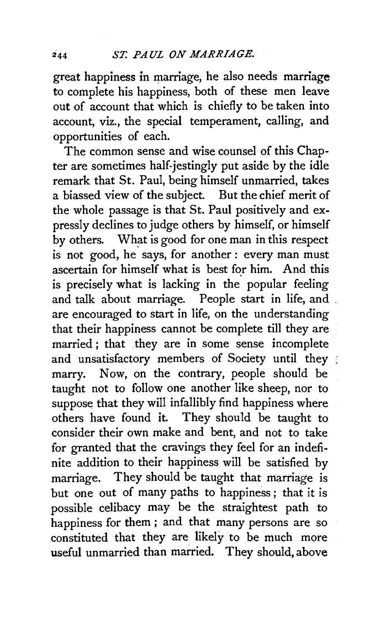great happiness in marriage, he also needs marriage to complete his happiness, both of these men leave out of account that which is chiefly to be taken into account, viz., the special temperament, calling, and opportunities of each.

The common sense and wise counsel of this Chapter are sometimes half-jestingly put aside by the idle remark that St. Paul, being himself unmarried, takes a biassed view of the subject. But the chief merit of the whole passage is that St. Paul positively and expressly declines to judge others by himself, or himself by others. What is good for one man in this respect is not good, he says, for another: every man must ascertain for himself what is best for him. And this is precisely what is lacking in the popular feeling and talk about marriage. People start in life, and . are encouraged to start in life, on the understanding that their happiness cannot be complete till they are married ; that they are in some sense incomplete and unsatisfactory members of Society until they marry. Now, on the contrary, people should be taught not to follow one another like sheep, nor to suppose that they will infallibly find happiness where others have found it. They should be taught to consider their own make and bent, and not to take for granted that the cravings they feel for an indefinite addition to their happiness will be satisfied by marriage. They should be taught that marriage is but one out of many paths to happiness ; that it is possible celibacy may be the straightest path to happiness for them ; and that many persons are so constituted that they are likely to be much more useful unmarried than married. They should, above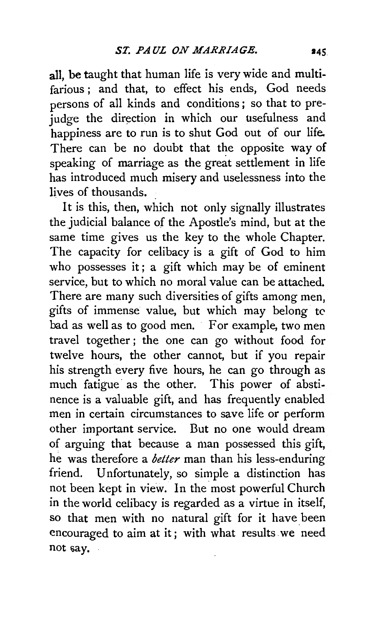all, be taught that human life is very wide and multifarious ; and that, to effect his ends, God needs persons of all kinds and conditions ; so that to prejudge the direction in which our usefulness and happiness are to run is to shut God out of our life. There can be no doubt that the opposite way of speaking of marriage as the great settlement in life has introduced much misery and uselessness into the lives of thousands. .

It is this, then, which not only signally illustrates the judicial balance of the Apostle's mind, but at the same time gives us the key to the whole Chapter. The capacity for celibacy is a gift of God to him who possesses it; a gift which may be of eminent service, but to which no moral value can be attached. There are many such diversities of gifts among men, gifts of immense value, but which may belong tc bad as well as to good men. For example, two men travel together ; the one can go without food for twelve hours, the other cannot, but if you repair his strength every five hours, he can go through as much fatigue as the other. This power of abstinence is a valuable gift, and has frequently enabled men in certain circumstances to save life or perform other important service. But no one would dream of arguing that because a rnan possessed this gift, he was therefore a *better* man than his less-enduring friend. Unfortunately, so simple a distinction has not been kept in view. In the most powerful Church in the world celibacy is regarded as a virtue in itself, so that men with no natural gift for it have been encouraged to aim at it; with what results we need not say.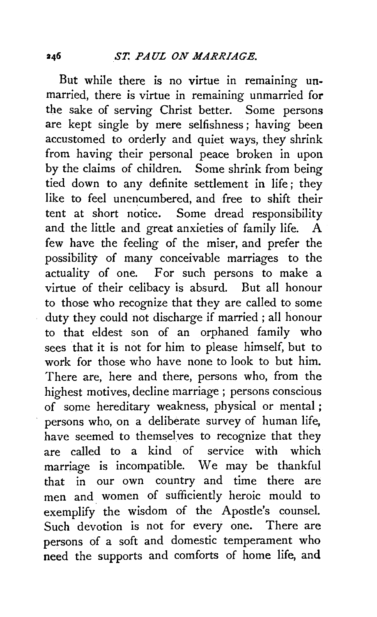But while there is no virtue in remaining un. married, there is virtue in remaining unmarried for the sake of serving Christ better. Some persons are kept single by mere selfishness; having been accustomed to orderly and quiet ways, they shrink from having their personal peace broken in upon by the claims of children. Some shrink from being tied down to any definite settlement in life ; they like to feel unencumbered, and free to shift their tent at short notice. Some dread responsibility and the little and great anxieties of family life. few have the feeling of the miser, and prefer the possibility of many conceivable marriages to the actuality of one. For such persons to make a virtue of their celibacy is absurd. But all honour to those who recognize that they are called to some duty they could not discharge if married ; all honour to that eldest son of an orphaned family who sees that it is not for him to please himself, but to work for those who have none to look to but him. There are, here and there, persons who, from the highest motives, decline marriage ; persons conscious of some hereditary weakness, physical or mental ; persons who, on a deliberate survey of human life, have seemed to themselves to recognize that they are called to a kind of service with which marriage is incompatible. We may be thankful that in our own country and time there are men and. women of sufficiently heroic mould to exemplify the wisdom of the Apostle's counsel. Such devotion is not for every one. There are persons of a soft and domestic temperament who need the supports and comforts of home life, and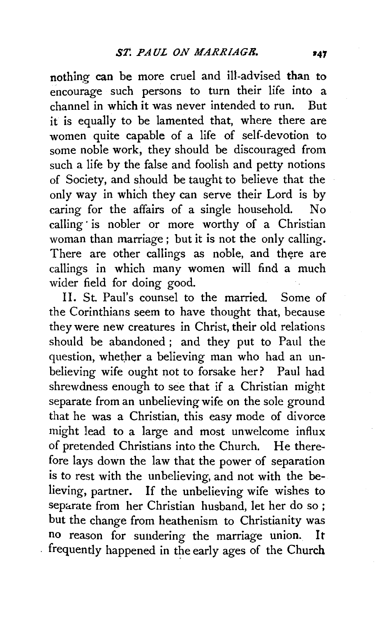nothing can be more cruel and ill-advised than to encourage such persons to turn their life into a channel in which it was never intended to run. But it is equally to be lamented that, where there are women quite capable of a life of self-devotion to some noble work, they should be discouraged from such a life by the false and foolish and petty notions of Society, and should be taught to believe that the only way in which they can serve their Lord is by caring for the affairs of a single household. No calling is nobler or more worthy of a Christian woman than marriage; but it is not the only calling. There are other callings as noble, and there are callings in which many women will find a much wider field for doing good.

II. St. Paul's counsel to the married. Some of the Corinthians seem to have thought that, because they were new creatures in Christ, their old relations should be abandoned ; and they put to Paul the question, whether a believing man who had an unbelieving wife ought not to forsake her? Paul had shrewdness enough to see that if a Christian might separate from an unbelieving wife on the sole ground that he was a Christian, this easy mode of divorce might lead to a large and most unwelcome influx of pretended Christians into the Church. He therefore lays down the law that the power of separation is to rest with the unbelieving, and not with the believing, partner. If the unbelieving wife wishes to separate from her Christian husband, let her do so; but the change from heathenism to Christianity was no reason for sundering the marriage union. It frequently happened in the early ages of the Church